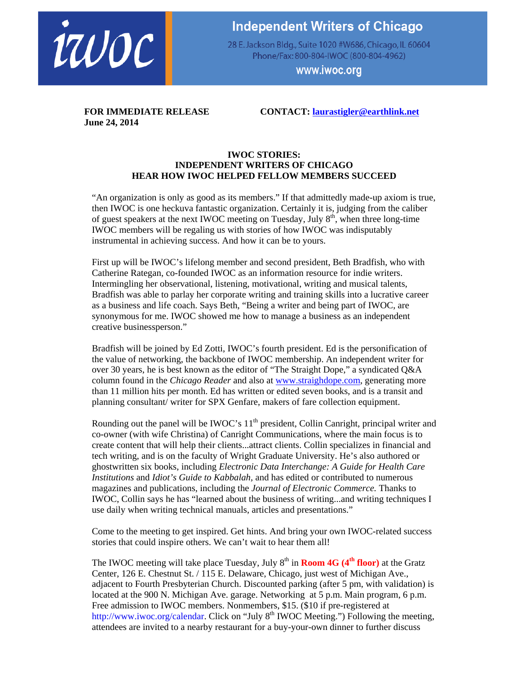

## **Independent Writers of Chicago**

28 E. Jackson Bldg., Suite 1020 #W686, Chicago, IL 60604 Phone/Fax: 800-804-IWOC (800-804-4962)

www.iwoc.org

**June 24, 2014** 

**FOR IMMEDIATE RELEASE CONTACT: laurastigler@earthlink.net** 

## **IWOC STORIES: INDEPENDENT WRITERS OF CHICAGO HEAR HOW IWOC HELPED FELLOW MEMBERS SUCCEED**

"An organization is only as good as its members." If that admittedly made-up axiom is true, then IWOC is one heckuva fantastic organization. Certainly it is, judging from the caliber of guest speakers at the next IWOC meeting on Tuesday, July  $8<sup>th</sup>$ , when three long-time IWOC members will be regaling us with stories of how IWOC was indisputably instrumental in achieving success. And how it can be to yours.

First up will be IWOC's lifelong member and second president, Beth Bradfish, who with Catherine Rategan, co-founded IWOC as an information resource for indie writers. Intermingling her observational, listening, motivational, writing and musical talents, Bradfish was able to parlay her corporate writing and training skills into a lucrative career as a business and life coach. Says Beth, "Being a writer and being part of IWOC, are synonymous for me. IWOC showed me how to manage a business as an independent creative businessperson."

Bradfish will be joined by Ed Zotti, IWOC's fourth president. Ed is the personification of the value of networking, the backbone of IWOC membership. An independent writer for over 30 years, he is best known as the editor of "The Straight Dope," a syndicated Q&A column found in the *Chicago Reader* and also at www.straighdope.com, generating more than 11 million hits per month. Ed has written or edited seven books, and is a transit and planning consultant/ writer for SPX Genfare, makers of fare collection equipment.

Rounding out the panel will be IWOC's  $11<sup>th</sup>$  president, Collin Canright, principal writer and co-owner (with wife Christina) of Canright Communications, where the main focus is to create content that will help their clients...attract clients. Collin specializes in financial and tech writing, and is on the faculty of Wright Graduate University. He's also authored or ghostwritten six books, including *Electronic Data Interchange: A Guide for Health Care Institutions* and *Idiot's Guide to Kabbalah,* and has edited or contributed to numerous magazines and publications, including the *Journal of Electronic Commerce.* Thanks to IWOC, Collin says he has "learned about the business of writing...and writing techniques I use daily when writing technical manuals, articles and presentations."

Come to the meeting to get inspired. Get hints. And bring your own IWOC-related success stories that could inspire others. We can't wait to hear them all!

The IWOC meeting will take place Tuesday, July  $8<sup>th</sup>$  in **Room 4G (4<sup>th</sup> floor)** at the Gratz Center, 126 E. Chestnut St. / 115 E. Delaware, Chicago, just west of Michigan Ave., adjacent to Fourth Presbyterian Church. Discounted parking (after 5 pm, with validation) is located at the 900 N. Michigan Ave. garage. Networking at 5 p.m. Main program, 6 p.m. Free admission to IWOC members. Nonmembers, \$15. (\$10 if pre-registered at http://www.iwoc.org/calendar. Click on "July 8<sup>th</sup> IWOC Meeting.") Following the meeting, attendees are invited to a nearby restaurant for a buy-your-own dinner to further discuss